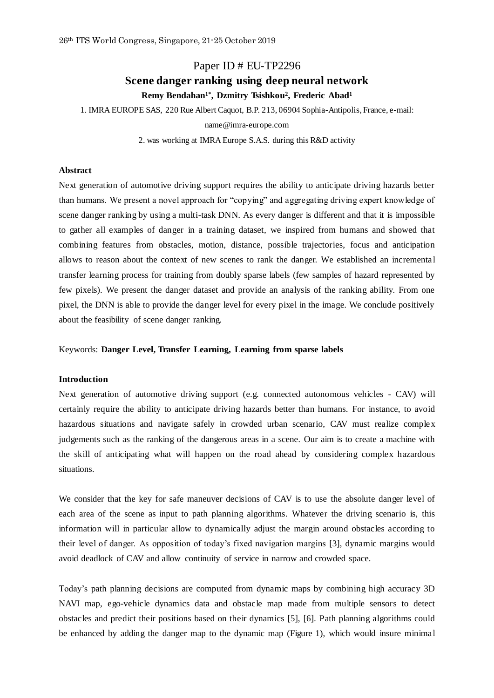# Paper ID # EU-TP2296 **Scene danger ranking using deep neural network Remy Bendahan1\* , Dzmitry Tsishkou<sup>2</sup> , Frederic Abad<sup>1</sup>**

1. IMRA EUROPE SAS, 220 Rue Albert Caquot, B.P. 213, 06904 Sophia-Antipolis, France, e-mail:

name@imra-europe.com

2. was working at IMRA Europe S.A.S. during this R&D activity

# **Abstract**

Next generation of automotive driving support requires the ability to anticipate driving hazards better than humans. We present a novel approach for "copying" and aggregating driving expert knowledge of scene danger ranking by using a multi-task DNN. As every danger is different and that it is impossible to gather all examples of danger in a training dataset, we inspired from humans and showed that combining features from obstacles, motion, distance, possible trajectories, focus and anticipation allows to reason about the context of new scenes to rank the danger. We established an incremental transfer learning process for training from doubly sparse labels (few samples of hazard represented by few pixels). We present the danger dataset and provide an analysis of the ranking ability. From one pixel, the DNN is able to provide the danger level for every pixel in the image. We conclude positively about the feasibility of scene danger ranking.

Keywords: **Danger Level, Transfer Learning, Learning from sparse labels**

## **Introduction**

Next generation of automotive driving support (e.g. connected autonomous vehicles - CAV) will certainly require the ability to anticipate driving hazards better than humans. For instance, to avoid hazardous situations and navigate safely in crowded urban scenario, CAV must realize complex judgements such as the ranking of the dangerous areas in a scene. Our aim is to create a machine with the skill of anticipating what will happen on the road ahead by considering complex hazardous situations.

We consider that the key for safe maneuver decisions of CAV is to use the absolute danger level of each area of the scene as input to path planning algorithms. Whatever the driving scenario is, this information will in particular allow to dynamically adjust the margin around obstacles according to their level of danger. As opposition of today's fixed navigation margins [\[3\]](#page-8-0), dynamic margins would avoid deadlock of CAV and allow continuity of service in narrow and crowded space.

Today's path planning decisions are computed from dynamic maps by combining high accuracy 3D NAVI map, ego-vehicle dynamics data and obstacle map made from multiple sensors to detect obstacles and predict their positions based on their dynamics [\[5\]](#page-9-0), [\[6\]](#page-9-1). Path planning algorithms could be enhanced by adding the danger map to the dynamic map [\(Figure 1\)](#page-1-0), which would insure minimal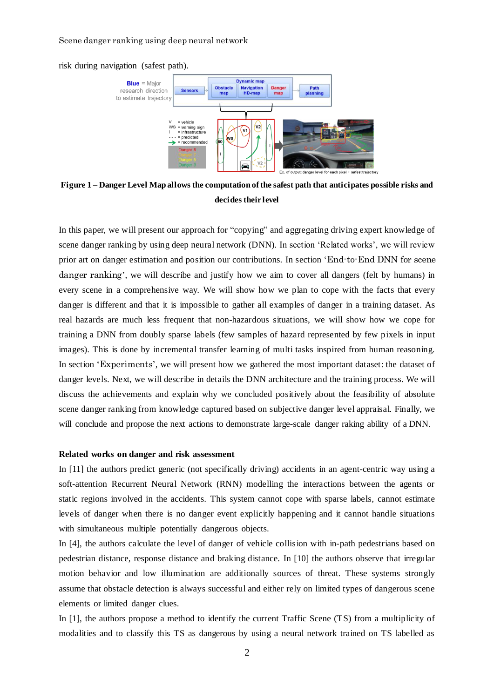risk during navigation (safest path).



<span id="page-1-0"></span>**Figure 1 – Danger Level Map allows the computation of the safest path that anticipates possible risks and decides their level**

In this paper, we will present our approach for "copying" and aggregating driving expert knowledge of scene danger ranking by using deep neural network (DNN). In section 'Related works', we will review prior art on danger estimation and position our contributions. In section '[End-to-End DNN for scene](#page-2-0)  [danger ranking](#page-2-0)', we will describe and justify how we aim to cover all dangers (felt by humans) in every scene in a comprehensive way. We will show how we plan to cope with the facts that every danger is different and that it is impossible to gather all examples of danger in a training dataset. As real hazards are much less frequent that non-hazardous situations, we will show how we cope for training a DNN from doubly sparse labels (few samples of hazard represented by few pixels in input images). This is done by incremental transfer learning of multi tasks inspired from human reasoning. In section '[Experiments](#page-4-0)', we will present how we gathered the most important dataset: the dataset of danger levels. Next, we will describe in details the DNN architecture and the training process. We will discuss the achievements and explain why we concluded positively about the feasibility of absolute scene danger ranking from knowledge captured based on subjective danger level appraisal. Finally, we will conclude and propose the next actions to demonstrate large-scale danger raking ability of a DNN.

## **Related works on danger and risk assessment**

In [\[11\]](#page-9-2) the authors predict generic (not specifically driving) accidents in an agent-centric way using a soft-attention Recurrent Neural Network (RNN) modelling the interactions between the agents or static regions involved in the accidents. This system cannot cope with sparse labels, cannot estimate levels of danger when there is no danger event explicitly happening and it cannot handle situations with simultaneous multiple potentially dangerous objects.

In [\[4\]](#page-8-1), the authors calculate the level of danger of vehicle collision with in-path pedestrians based on pedestrian distance, response distance and braking distance. In [\[10\]](#page-9-3) the authors observe that irregular motion behavior and low illumination are additionally sources of threat. These systems strongly assume that obstacle detection is always successful and either rely on limited types of dangerous scene elements or limited danger clues.

In [\[1\]](#page-8-2), the authors propose a method to identify the current Traffic Scene (TS) from a multiplicity of modalities and to classify this TS as dangerous by using a neural network trained on TS labelled as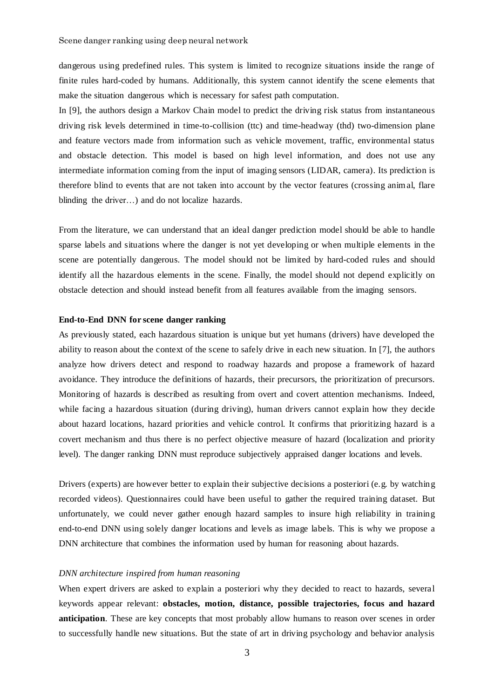dangerous using predefined rules. This system is limited to recognize situations inside the range of finite rules hard-coded by humans. Additionally, this system cannot identify the scene elements that make the situation dangerous which is necessary for safest path computation.

In [\[9\]](#page-9-4), the authors design a Markov Chain model to predict the driving risk status from instantaneous driving risk levels determined in time-to-collision (ttc) and time-headway (thd) two-dimension plane and feature vectors made from information such as vehicle movement, traffic, environmental status and obstacle detection. This model is based on high level information, and does not use any intermediate information coming from the input of imaging sensors (LIDAR, camera). Its prediction is therefore blind to events that are not taken into account by the vector features (crossing animal, flare blinding the driver…) and do not localize hazards.

From the literature, we can understand that an ideal danger prediction model should be able to handle sparse labels and situations where the danger is not yet developing or when multiple elements in the scene are potentially dangerous. The model should not be limited by hard-coded rules and should identify all the hazardous elements in the scene. Finally, the model should not depend explicitly on obstacle detection and should instead benefit from all features available from the imaging sensors.

## <span id="page-2-0"></span>**End-to-End DNN for scene danger ranking**

As previously stated, each hazardous situation is unique but yet humans (drivers) have developed the ability to reason about the context of the scene to safely drive in each new situation. In [\[7\]](#page-9-5), the authors analyze how drivers detect and respond to roadway hazards and propose a framework of hazard avoidance. They introduce the definitions of hazards, their precursors, the prioritization of precursors. Monitoring of hazards is described as resulting from overt and covert attention mechanisms. Indeed, while facing a hazardous situation (during driving), human drivers cannot explain how they decide about hazard locations, hazard priorities and vehicle control. It confirms that prioritizing hazard is a covert mechanism and thus there is no perfect objective measure of hazard (localization and priority level). The danger ranking DNN must reproduce subjectively appraised danger locations and levels.

Drivers (experts) are however better to explain their subjective decisions a posteriori (e.g. by watching recorded videos). Questionnaires could have been useful to gather the required training dataset. But unfortunately, we could never gather enough hazard samples to insure high reliability in training end-to-end DNN using solely danger locations and levels as image labels. This is why we propose a DNN architecture that combines the information used by human for reasoning about hazards.

#### *DNN architecture inspired from human reasoning*

When expert drivers are asked to explain a posteriori why they decided to react to hazards, several keywords appear relevant: **obstacles, motion, distance, possible trajectories, focus and hazard anticipation**. These are key concepts that most probably allow humans to reason over scenes in order to successfully handle new situations. But the state of art in driving psychology and behavior analysis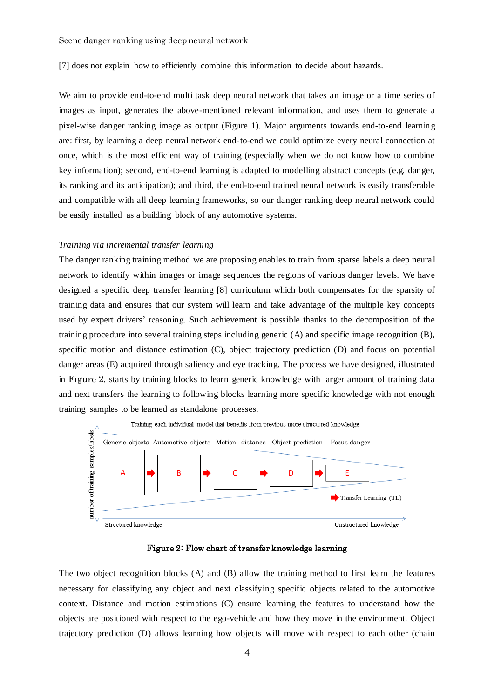[\[7\]](#page-9-5) does not explain how to efficiently combine this information to decide about hazards.

We aim to provide end-to-end multi task deep neural network that takes an image or a time series of images as input, generates the above-mentioned relevant information, and uses them to generate a pixel-wise danger ranking image as output [\(Figure 1\)](#page-1-0). Major arguments towards end-to-end learning are: first, by learning a deep neural network end-to-end we could optimize every neural connection at once, which is the most efficient way of training (especially when we do not know how to combine key information); second, end-to-end learning is adapted to modelling abstract concepts (e.g. danger, its ranking and its anticipation); and third, the end-to-end trained neural network is easily transferable and compatible with all deep learning frameworks, so our danger ranking deep neural network could be easily installed as a building block of any automotive systems.

## *Training via incremental transfer learning*

The danger ranking training method we are proposing enables to train from sparse labels a deep neural network to identify within images or image sequences the regions of various danger levels. We have designed a specific deep transfer learning [\[8\]](#page-9-6) curriculum which both compensates for the sparsity of training data and ensures that our system will learn and take advantage of the multiple key concepts used by expert drivers' reasoning. Such achievement is possible thanks to the decomposition of the training procedure into several training steps including generic (A) and specific image recognition (B), specific motion and distance estimation (C), object trajectory prediction (D) and focus on potential danger areas (E) acquired through saliency and eye tracking. The process we have designed, illustrated in [Figure 2](#page-3-0), starts by training blocks to learn generic knowledge with larger amount of training data and next transfers the learning to following blocks learning more specific knowledge with not enough training samples to be learned as standalone processes.



Figure 2: Flow chart of transfer knowledge learning

<span id="page-3-0"></span>The two object recognition blocks (A) and (B) allow the training method to first learn the features necessary for classifying any object and next classifying specific objects related to the automotive context. Distance and motion estimations (C) ensure learning the features to understand how the objects are positioned with respect to the ego-vehicle and how they move in the environment. Object trajectory prediction (D) allows learning how objects will move with respect to each other (chain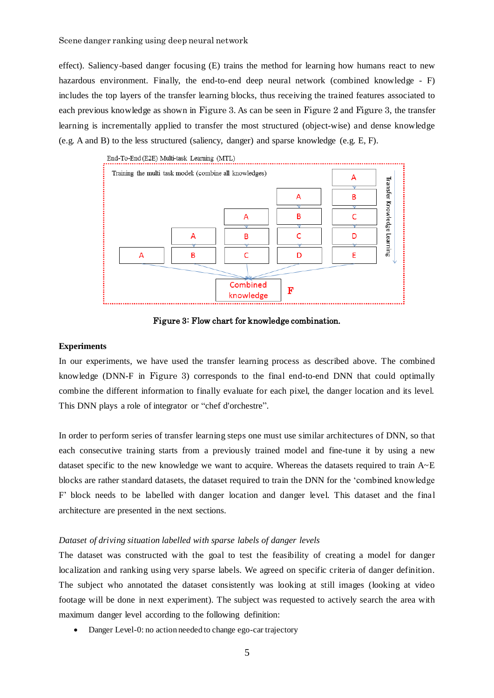effect). Saliency-based danger focusing (E) trains the method for learning how humans react to new hazardous environment. Finally, the end-to-end deep neural network (combined knowledge - F) includes the top layers of the transfer learning blocks, thus receiving the trained features associated to each previous knowledge as shown in [Figure 3](#page-4-1). As can be seen in [Figure 2](#page-3-0) and [Figure 3](#page-4-1), the transfer learning is incrementally applied to transfer the most structured (object-wise) and dense knowledge (e.g. A and B) to the less structured (saliency, danger) and sparse knowledge (e.g. E, F).



Figure 3: Flow chart for knowledge combination.

## <span id="page-4-1"></span><span id="page-4-0"></span>**Experiments**

In our experiments, we have used the transfer learning process as described above. The combined knowledge (DNN-F in [Figure 3](#page-4-1)) corresponds to the final end-to-end DNN that could optimally combine the different information to finally evaluate for each pixel, the danger location and its level. This DNN plays a role of integrator or "chef d'orchestre".

In order to perform series of transfer learning steps one must use similar architectures of DNN, so that each consecutive training starts from a previously trained model and fine-tune it by using a new dataset specific to the new knowledge we want to acquire. Whereas the datasets required to train  $A \sim E$ blocks are rather standard datasets, the dataset required to train the DNN for the 'combined knowledge F' block needs to be labelled with danger location and danger level. This dataset and the final architecture are presented in the next sections.

#### *Dataset of driving situation labelled with sparse labels of danger levels*

The dataset was constructed with the goal to test the feasibility of creating a model for danger localization and ranking using very sparse labels. We agreed on specific criteria of danger definition. The subject who annotated the dataset consistently was looking at still images (looking at video footage will be done in next experiment). The subject was requested to actively search the area with maximum danger level according to the following definition:

• Danger Level-0: no action needed to change ego-car trajectory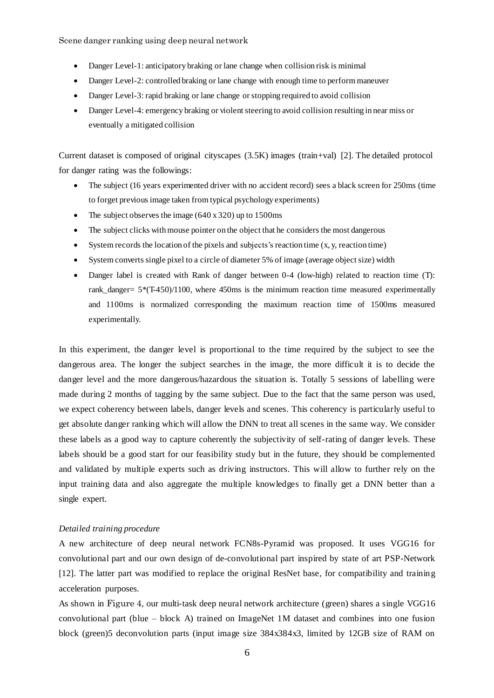- Danger Level-1: anticipatory braking or lane change when collision risk is minimal
- Danger Level-2: controlled braking or lane change with enough time to perform maneuver
- Danger Level-3: rapid braking or lane change or stopping required to avoid collision
- Danger Level-4: emergency braking or violent steering to avoid collision resulting in near miss or eventually a mitigated collision

Current dataset is composed of original cityscapes (3.5K) images (train+val) [\[2\]](#page-8-3). The detailed protocol for danger rating was the followings:

- The subject (16 years experimented driver with no accident record) sees a black screen for 250ms (time to forget previous image taken from typical psychology experiments)
- The subject observes the image  $(640 \times 320)$  up to 1500ms
- The subject clicks with mouse pointer on the object that he considers the most dangerous
- System records the location of the pixels and subjects's reaction time (x, y, reaction time)
- System converts single pixel to a circle of diameter 5% of image (average object size) width
- Danger label is created with Rank of danger between 0-4 (low-high) related to reaction time (T): rank\_danger=  $5*(T-450)/1100$ , where 450ms is the minimum reaction time measured experimentally and 1100ms is normalized corresponding the maximum reaction time of 1500ms measured experimentally.

In this experiment, the danger level is proportional to the time required by the subject to see the dangerous area. The longer the subject searches in the image, the more difficult it is to decide the danger level and the more dangerous/hazardous the situation is. Totally 5 sessions of labelling were made during 2 months of tagging by the same subject. Due to the fact that the same person was used, we expect coherency between labels, danger levels and scenes. This coherency is particularly useful to get absolute danger ranking which will allow the DNN to treat all scenes in the same way. We consider these labels as a good way to capture coherently the subjectivity of self-rating of danger levels. These labels should be a good start for our feasibility study but in the future, they should be complemented and validated by multiple experts such as driving instructors. This will allow to further rely on the input training data and also aggregate the multiple knowledges to finally get a DNN better than a single expert.

#### *Detailed training procedure*

A new architecture of deep neural network FCN8s-Pyramid was proposed. It uses VGG16 for convolutional part and our own design of de-convolutional part inspired by state of art PSP-Network [\[12\]](#page-9-7). The latter part was modified to replace the original ResNet base, for compatibility and training acceleration purposes.

As shown in [Figure 4,](#page-6-0) our multi-task deep neural network architecture (green) shares a single VGG16 convolutional part (blue – block A) trained on ImageNet 1M dataset and combines into one fusion block (green)5 deconvolution parts (input image size 384x384x3, limited by 12GB size of RAM on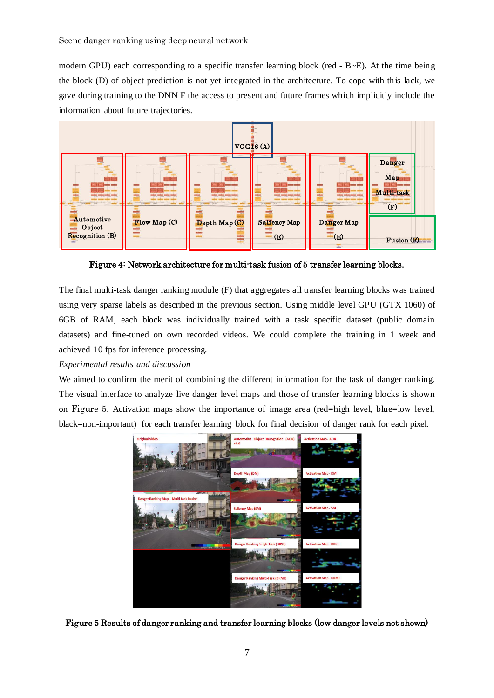modern GPU) each corresponding to a specific transfer learning block (red  $-$  B $\sim$ E). At the time being the block (D) of object prediction is not yet integrated in the architecture. To cope with this lack, we gave during training to the DNN F the access to present and future frames which implicitly include the information about future trajectories.



<span id="page-6-0"></span>Figure 4: Network architecture for multi-task fusion of 5 transfer learning blocks.

The final multi-task danger ranking module (F) that aggregates all transfer learning blocks was trained using very sparse labels as described in the previous section. Using middle level GPU (GTX 1060) of 6GB of RAM, each block was individually trained with a task specific dataset (public domain datasets) and fine-tuned on own recorded videos. We could complete the training in 1 week and achieved 10 fps for inference processing. Depth Map  $\overline{a}$  and  $\overline{a}$  and  $\overline{a}$ 

# *Experimental results and discussion*

We aimed to confirm the merit of combining the different information for the task of danger ranking. The visual interface to analyze live danger level maps and those of transfer learning blocks is shown on [Figure 5](#page-6-1). Activation maps show the importance of image area (red=high level, blue=low level, black=non-important) for each transfer learning block for final decision of danger rank for each pixel.



<span id="page-6-1"></span>Figure 5 Results of danger ranking and transfer learning blocks (low danger levels not shown)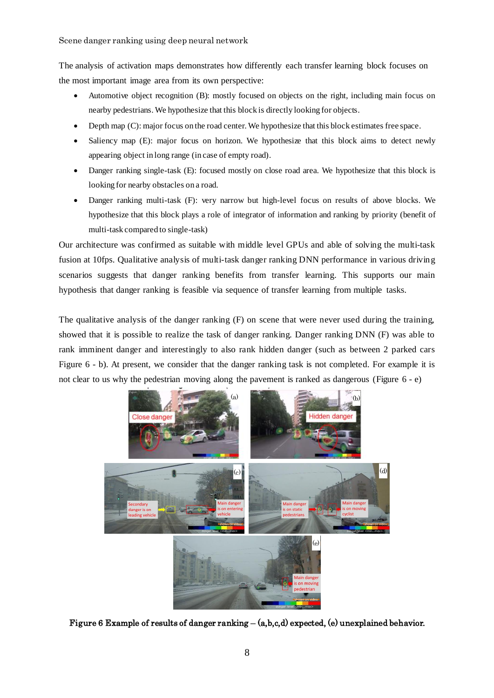The analysis of activation maps demonstrates how differently each transfer learning block focuses on the most important image area from its own perspective:

- Automotive object recognition (B): mostly focused on objects on the right, including main focus on nearby pedestrians. We hypothesize that this block is directly looking for objects.
- Depth map (C): major focus on the road center. We hypothesize that this block estimates free space.
- Saliency map (E): major focus on horizon. We hypothesize that this block aims to detect newly appearing object in long range (in case of empty road).
- Danger ranking single-task (E): focused mostly on close road area. We hypothesize that this block is looking for nearby obstacles on a road.
- Danger ranking multi-task (F): very narrow but high-level focus on results of above blocks. We hypothesize that this block plays a role of integrator of information and ranking by priority (benefit of multi-task compared to single-task)

Our architecture was confirmed as suitable with middle level GPUs and able of solving the multi-task fusion at 10fps. Qualitative analysis of multi-task danger ranking DNN performance in various driving scenarios suggests that danger ranking benefits from transfer learning. This supports our main hypothesis that danger ranking is feasible via sequence of transfer learning from multiple tasks.

The qualitative analysis of the danger ranking  $(F)$  on scene that were never used during the training, showed that it is possible to realize the task of danger ranking. Danger ranking DNN (F) was able to rank imminent danger and interestingly to also rank hidden danger (such as between 2 parked cars [Figure 6](#page-7-0) - b). At present, we consider that the danger ranking task is not completed. For example it is not clear to us why the pedestrian moving along the pavement is ranked as dangerous [\(Figure 6](#page-7-0) - e)

<span id="page-7-0"></span>

Figure 6 Example of results of danger ranking – (a,b,c,d) expected, (e) unexplained behavior.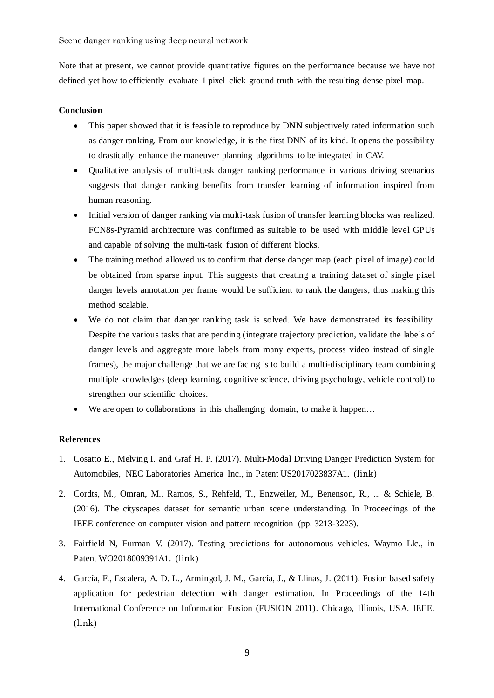Note that at present, we cannot provide quantitative figures on the performance because we have not defined yet how to efficiently evaluate 1 pixel click ground truth with the resulting dense pixel map.

# **Conclusion**

- This paper showed that it is feasible to reproduce by DNN subjectively rated information such as danger ranking. From our knowledge, it is the first DNN of its kind. It opens the possibility to drastically enhance the maneuver planning algorithms to be integrated in CAV.
- Qualitative analysis of multi-task danger ranking performance in various driving scenarios suggests that danger ranking benefits from transfer learning of information inspired from human reasoning.
- Initial version of danger ranking via multi-task fusion of transfer learning blocks was realized. FCN8s-Pyramid architecture was confirmed as suitable to be used with middle level GPUs and capable of solving the multi-task fusion of different blocks.
- The training method allowed us to confirm that dense danger map (each pixel of image) could be obtained from sparse input. This suggests that creating a training dataset of single pixel danger levels annotation per frame would be sufficient to rank the dangers, thus making this method scalable.
- We do not claim that danger ranking task is solved. We have demonstrated its feasibility. Despite the various tasks that are pending (integrate trajectory prediction, validate the labels of danger levels and aggregate more labels from many experts, process video instead of single frames), the major challenge that we are facing is to build a multi-disciplinary team combining multiple knowledges (deep learning, cognitive science, driving psychology, vehicle control) to strengthen our scientific choices.
- We are open to collaborations in this challenging domain, to make it happen...

## **References**

- <span id="page-8-2"></span>1. Cosatto E., Melving I. and Graf H. P. (2017). Multi-Modal Driving Danger Prediction System for Automobiles, NEC Laboratories America Inc., in Patent US2017023837A1. ([link](https://patents.google.com/patent/US20170293837A1/en?oq=US+2017%2f0293837))
- <span id="page-8-3"></span>2. Cordts, M., Omran, M., Ramos, S., Rehfeld, T., Enzweiler, M., Benenson, R., ... & Schiele, B. (2016). The cityscapes dataset for semantic urban scene understanding. In Proceedings of the IEEE conference on computer vision and pattern recognition (pp. 3213-3223).
- <span id="page-8-0"></span>3. Fairfield N, Furman V. (2017). Testing predictions for autonomous vehicles. Waymo Llc., in Patent WO2018009391A1. ([link](https://patents.google.com/patent/WO2018009391A1/en?oq=2018009391))
- <span id="page-8-1"></span>4. García, F., Escalera, A. D. L., Armingol, J. M., García, J., & Llinas, J. (2011). Fusion based safety application for pedestrian detection with danger estimation. In Proceedings of the 14th International Conference on Information Fusion (FUSION 2011). Chicago, Illinois, USA. IEEE. ([link](https://e-archivo.uc3m.es/bitstream/handle/10016/18442/fusion_FUSION_2011_ps.pdf?sequence=1))